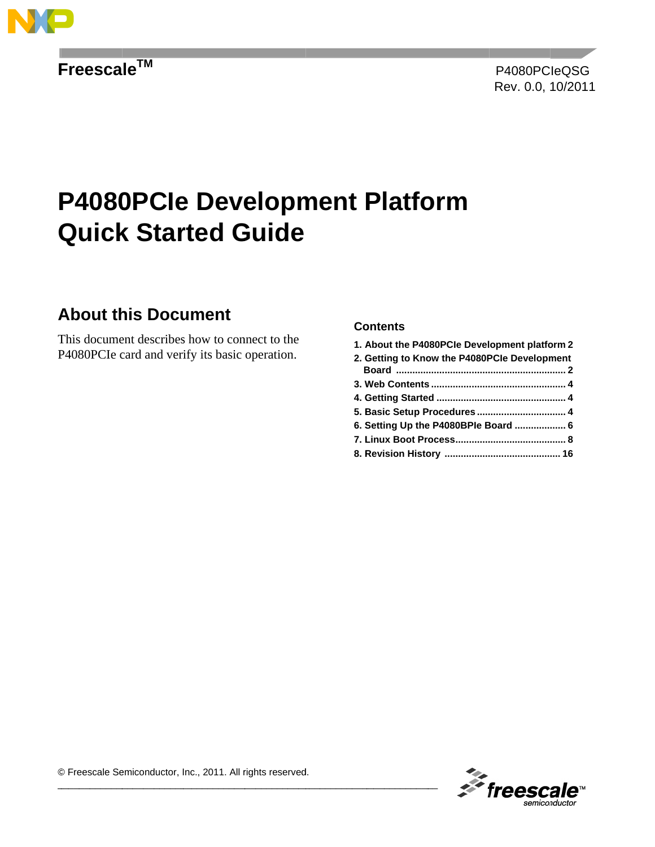

Freescale™

# **P4080PCle Development Platform Quick Started Guide**

## **About this Document**

This document describes how to connect to the P4080PCIe card and verify its basic operation.

### **Contents**

| 1. About the P4080PCIe Development platform 2 |  |
|-----------------------------------------------|--|
| 2. Getting to Know the P4080PCIe Development  |  |
|                                               |  |
|                                               |  |
|                                               |  |
|                                               |  |
|                                               |  |
|                                               |  |
|                                               |  |
|                                               |  |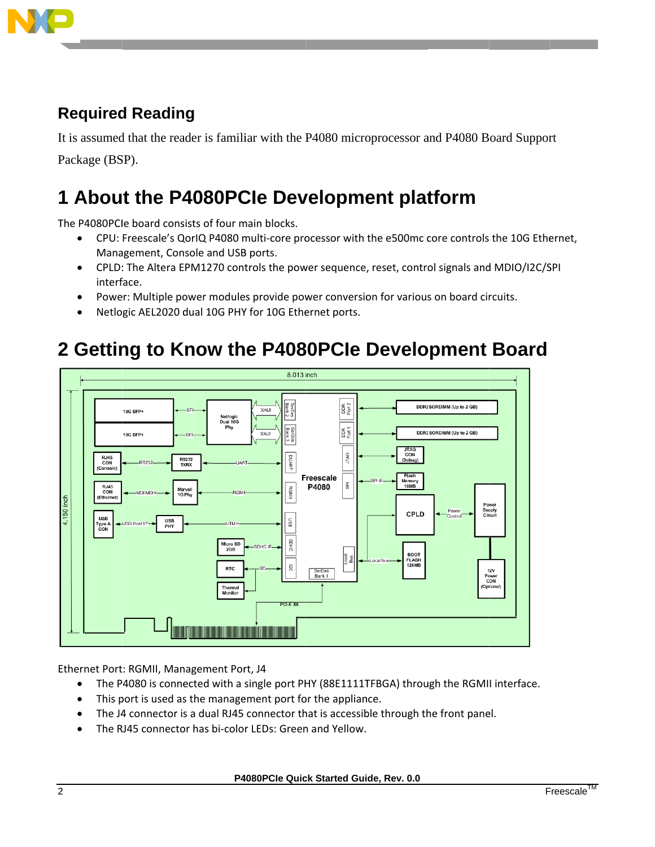

## **Required Reading**

It is assumed that the reader is familiar with the P4080 microprocessor and P4080 Board Support Package (BSP).

# 1 About the P4080PCle Development platform

The P4080PCIe board consists of four main blocks.

- CPU: Freescale's QorIQ P4080 multi-core processor with the e500mc core controls the 10G Ethernet,  $\bullet$ Management, Console and USB ports.
- CPLD: The Altera EPM1270 controls the power sequence, reset, control signals and MDIO/I2C/SPI interface.
- Power: Multiple power modules provide power conversion for various on board circuits.
- Netlogic AEL2020 dual 10G PHY for 10G Ethernet ports.  $\bullet$

# 2 Getting to Know the P4080PCIe Development Board



Ethernet Port: RGMII, Management Port, J4

- The P4080 is connected with a single port PHY (88E1111TFBGA) through the RGMII interface.  $\bullet$
- This port is used as the management port for the appliance.  $\bullet$
- The J4 connector is a dual RJ45 connector that is accessible through the front panel.
- The RJ45 connector has bi-color LEDs: Green and Yellow.  $\bullet$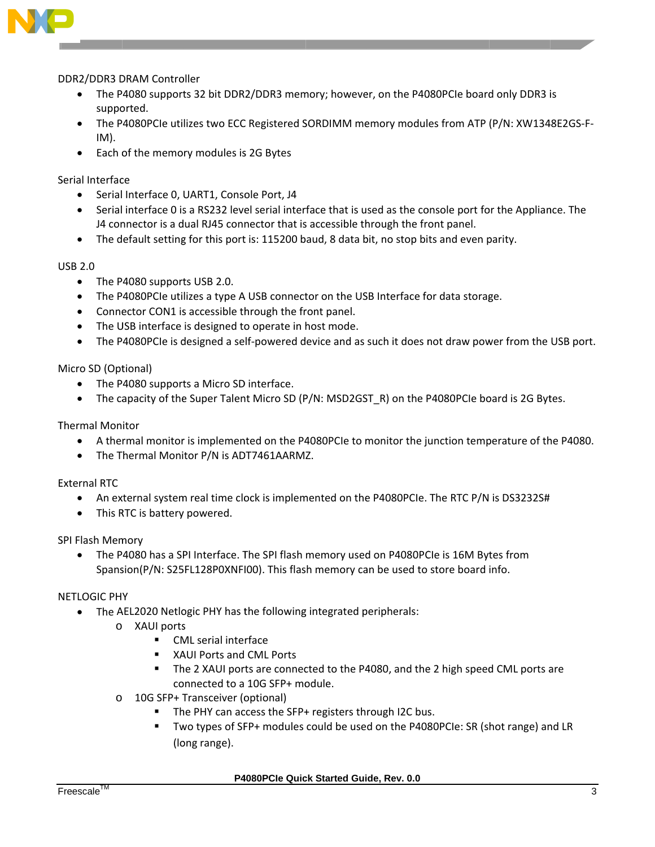

### DDR2/DDR3 DRAM Controller

- The P4080 supports 32 bit DDR2/DDR3 memory; however, on the P4080PCIe board only DDR3 is supported.
- The P4080PCIe utilizes two ECC Registered SORDIMM memory modules from ATP (P/N: XW1348E2GS-F-IM).
- Each of the memory modules is 2G Bytes

### Serial Interface

- Serial Interface 0, UART1, Console Port, J4
- Serial interface 0 is a RS232 level serial interface that is used as the console port for the Appliance. The J4 connector is a dual RJ45 connector that is accessible through the front panel.
- The default setting for this port is: 115200 baud, 8 data bit, no stop bits and even parity.

#### **USB 2.0**

- The P4080 supports USB 2.0.  $\bullet$
- The P4080PCIe utilizes a type A USB connector on the USB Interface for data storage.
- Connector CON1 is accessible through the front panel.
- The USB interface is designed to operate in host mode.
- The P4080PCIe is designed a self-powered device and as such it does not draw power from the USB port.

### Micro SD (Optional)

- The P4080 supports a Micro SD interface.
- The capacity of the Super Talent Micro SD (P/N: MSD2GST\_R) on the P4080PCIe board is 2G Bytes.  $\bullet$

### **Thermal Monitor**

- A thermal monitor is implemented on the P4080PCIe to monitor the junction temperature of the P4080.
- The Thermal Monitor P/N is ADT7461AARMZ.

### **External RTC**

- An external system real time clock is implemented on the P4080PCIe. The RTC P/N is DS3232S#  $\bullet$
- This RTC is battery powered.

### SPI Flash Memory

The P4080 has a SPI Interface. The SPI flash memory used on P4080PCIe is 16M Bytes from Spansion(P/N: S25FL128P0XNFI00). This flash memory can be used to store board info.

### **NETLOGIC PHY**

- The AEL2020 Netlogic PHY has the following integrated peripherals:  $\bullet$ 
	- o XAUI ports
		- $\mathbf{r}$ **CML** serial interface
		- **XAUI Ports and CML Ports**  $\mathbf{r}$
		- The 2 XAUI ports are connected to the P4080, and the 2 high speed CML ports are connected to a 10G SFP+ module.
	- 10G SFP+ Transceiver (optional)  $\circ$ 
		- The PHY can access the SFP+ registers through I2C bus.
		- Two types of SFP+ modules could be used on the P4080PCIe: SR (shot range) and LR (long range).

P4080PCle Quick Started Guide, Rev. 0.0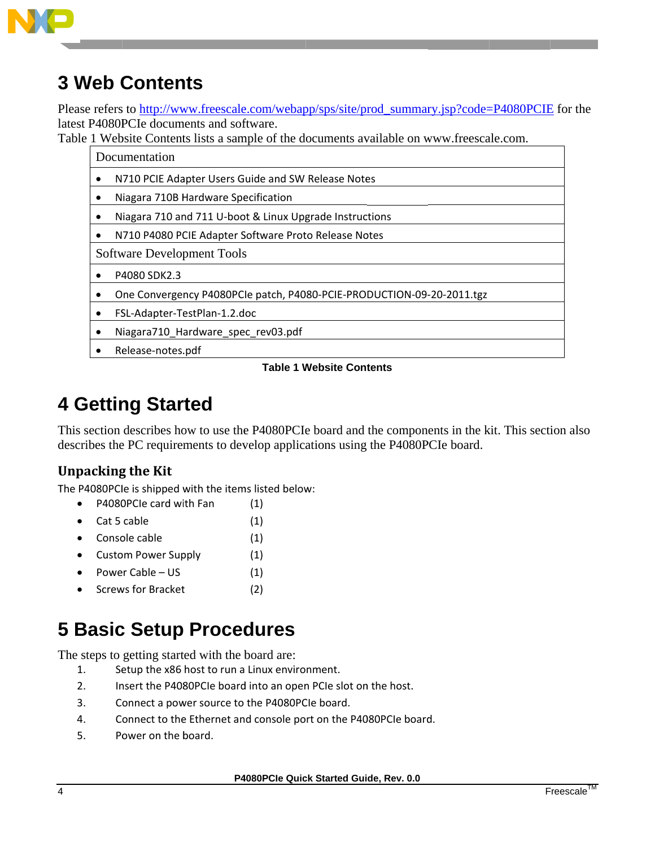

# **3 Web Contents**

Please refers to http://www.freescale.com/webapp/sps/site/prod summary.jsp?code=P4080PCIE for the latest P4080PCIe documents and software.

Table 1 Website Contents lists a sample of the documents available on www.freescale.com.

Documentation

- $\bullet$ N710 PCIE Adapter Users Guide and SW Release Notes
- $\bullet$ Niagara 710B Hardware Specification
- Niagara 710 and 711 U-boot & Linux Upgrade Instructions  $\bullet$
- N710 P4080 PCIE Adapter Software Proto Release Notes  $\bullet$

**Software Development Tools** 

- $\bullet$ P4080 SDK2.3
- One Convergency P4080PCle patch, P4080-PCIE-PRODUCTION-09-20-2011.tgz  $\bullet$
- FSL-Adapter-TestPlan-1.2.doc  $\bullet$
- Niagara710 Hardware spec rev03.pdf  $\bullet$
- Release-notes.pdf

### **Table 1 Website Contents**

# **4 Getting Started**

This section describes how to use the P4080PCIe board and the components in the kit. This section also describes the PC requirements to develop applications using the P4080PCIe board.

## **Unpacking the Kit**

The P4080PCIe is shipped with the items listed below:

- P4080PCIe card with Fan  $\bullet$  $(1)$
- Cat 5 cable  $(1)$  $\bullet$
- Console cable  $(1)$
- Custom Power Supply  $(1)$
- Power Cable  $-$  US  $(1)$
- **Screws for Bracket**  $(2)$

# **5 Basic Setup Procedures**

The steps to getting started with the board are:

- $1.$ Setup the x86 host to run a Linux environment.
- $2.$ Insert the P4080PCIe board into an open PCIe slot on the host.
- $3<sub>1</sub>$ Connect a power source to the P4080PCIe board.
- $\overline{4}$ Connect to the Ethernet and console port on the P4080PCIe board.
- Power on the board. 5.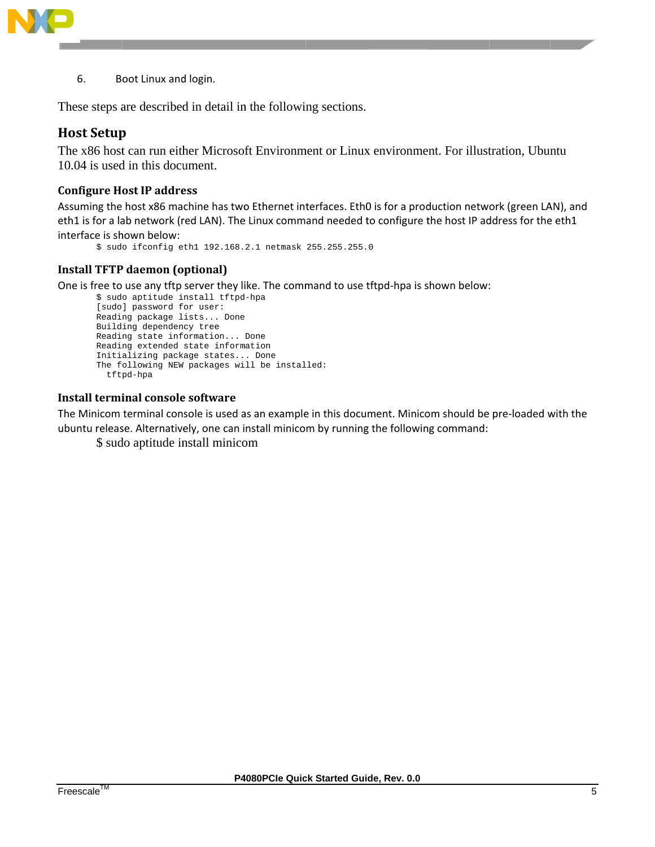

6. Boot Linux and login.

These steps are described in detail in the following sections.

### **Host Setup**

The x86 host can run either Microsoft Environment or Linux environment. For illustration, Ubuntu 10.04 is used in this document.

### **Configure Host IP address**

Assuming the host x86 machine has two Ethernet interfaces. Eth0 is for a production network (green LAN), and eth1 is for a lab network (red LAN). The Linux command needed to configure the host IP address for the eth1 interface is shown below:

```
$ sudo ifconfig eth1 192.168.2.1 netmask 255.255.255.0
```
### **Install TFTP daemon (optional)**

One is free to use any tftp server they like. The command to use tftpd-hpa is shown below:

```
$ sudo aptitude install tftpd-hpa
[sudo] password for user:
Reading package lists... Done
Building dependency tree
Reading state information... Done
Reading extended state information
Initializing package states... Done
The following NEW packages will be installed:
  tftpd-hpa
```
### Install terminal console software

The Minicom terminal console is used as an example in this document. Minicom should be pre-loaded with the ubuntu release. Alternatively, one can install minicom by running the following command:

\$ sudo aptitude install minicom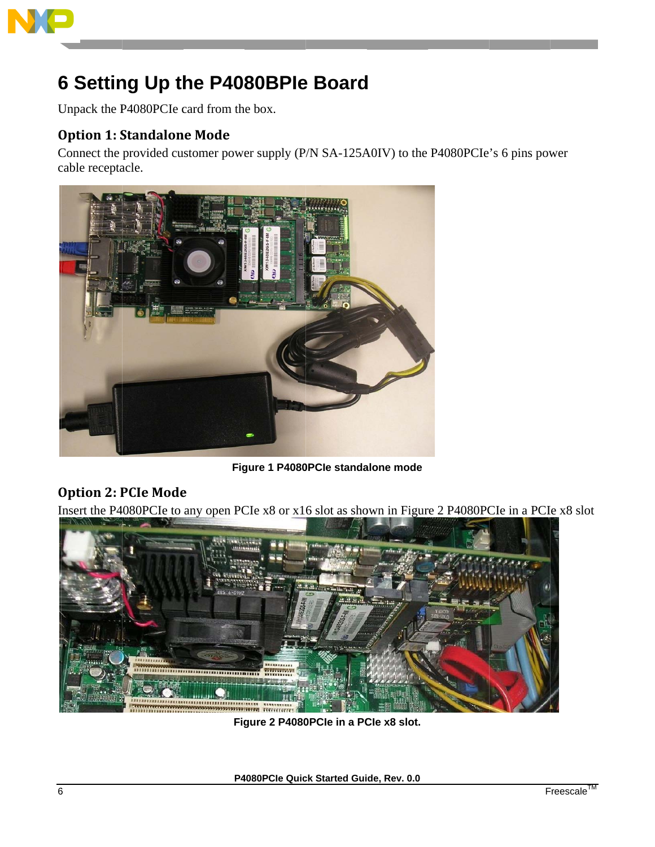

# **6 Setting Up the P4080BPle Board**

Unpack the P4080PCIe card from the box.

## **Option 1: Standalone Mode**

Connect the provided customer power supply (P/N SA-125A0IV) to the P4080PCIe's 6 pins power cable receptacle.



Figure 1 P4080PCle standalone mode

## **Option 2: PCIe Mode**

Insert the P4080PCIe to any open PCIe x8 or x16 slot as shown in Figure 2 P4080PCIe in a PCIe x8 slot



Figure 2 P4080PCle in a PCle x8 slot.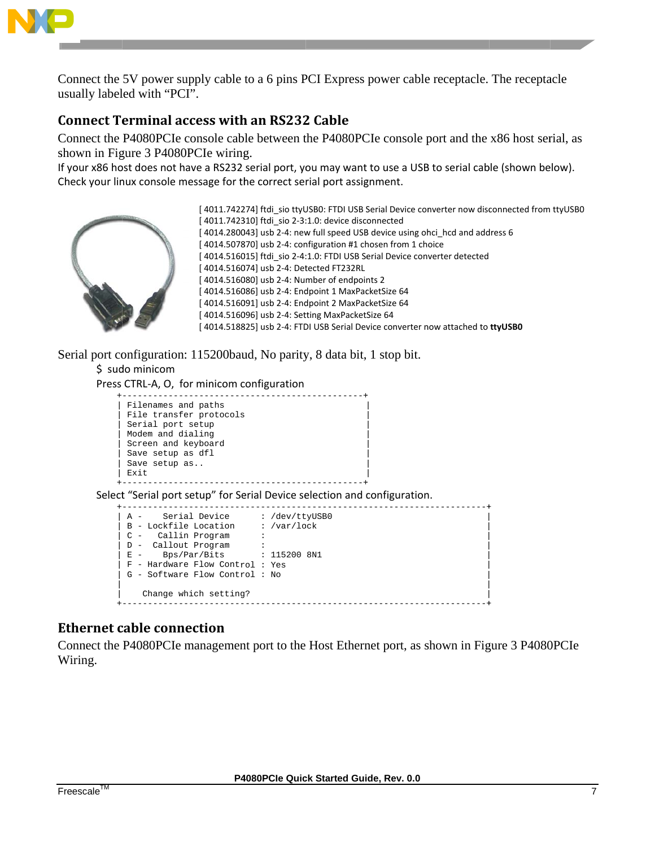

Connect the 5V power supply cable to a 6 pins PCI Express power cable receptacle. The receptacle usually labeled with "PCI".

## **Connect Terminal access with an RS232 Cable**

Connect the P4080PCIe console cable between the P4080PCIe console port and the x86 host serial, as shown in Figure 3 P4080PCIe wiring.

If your x86 host does not have a RS232 serial port, you may want to use a USB to serial cable (shown below). Check your linux console message for the correct serial port assignment.



[4011.742274] ftdi sio ttyUSB0: FTDI USB Serial Device converter now disconnected from ttyUSB0 [4011.742310] ftdi sio 2-3:1.0: device disconnected [4014.280043] usb 2-4: new full speed USB device using ohci\_hcd and address 6 [4014.507870] usb 2-4: configuration #1 chosen from 1 choice [4014.516015] ftdi\_sio 2-4:1.0: FTDI USB Serial Device converter detected [4014.516074] usb 2-4: Detected FT232RL [4014.516080] usb 2-4: Number of endpoints 2 [4014.516086] usb 2-4: Endpoint 1 MaxPacketSize 64 [4014.516091] usb 2-4: Endpoint 2 MaxPacketSize 64 [4014.516096] usb 2-4: Setting MaxPacketSize 64 [4014.518825] usb 2-4: FTDI USB Serial Device converter now attached to ttyUSBO

Serial port configuration: 115200baud, No parity, 8 data bit, 1 stop bit. \$ sudo minicom

Press CTRL-A, O, for minicom configuration

| Filenames and paths<br>File transfer protocols<br>Serial port setup<br>Modem and dialing<br>Screen and keyboard<br>Save setup as dfl<br>Save setup as<br>Exit |  |  |
|---------------------------------------------------------------------------------------------------------------------------------------------------------------|--|--|
|                                                                                                                                                               |  |  |
| Select "Serial port setup" for Serial Device selection and configuration.                                                                                     |  |  |
| A - Serial Device : /dev/ttyUSB0                                                                                                                              |  |  |
| B - Lockfile Location : /var/lock                                                                                                                             |  |  |
| C - Callin Program                                                                                                                                            |  |  |
| D - Callout Program                                                                                                                                           |  |  |
| $E - Bps/Par/Bits$ : 115200 8N1                                                                                                                               |  |  |
| F - Hardware Flow Control : Yes                                                                                                                               |  |  |
| G - Software Flow Control: No                                                                                                                                 |  |  |

### **Ethernet cable connection**

Connect the P4080PCIe management port to the Host Ethernet port, as shown in Figure 3 P4080PCIe Wiring.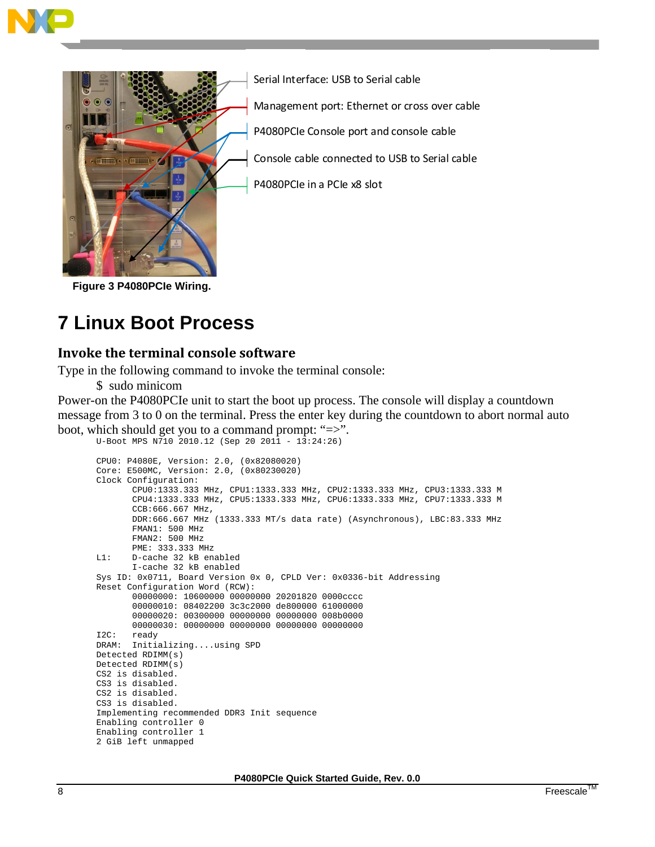



Serial Interface: USB to Serial cable

Management port: Ethernet or cross over cable

P4080PCIe Console port and console cable

Console cable connected to USB to Serial cable

P4080PCIe in a PCIe x8 slot

Figure 3 P4080PCle Wiring.

# **7 Linux Boot Process**

## Invoke the terminal console software

Type in the following command to invoke the terminal console:

\$ sudo minicom

Enabling controller 1 2 GiB left unmapped

Power-on the P4080PCIe unit to start the boot up process. The console will display a countdown message from 3 to 0 on the terminal. Press the enter key during the countdown to abort normal auto boot, which should get you to a command prompt: " $\Rightarrow$ ".

```
U-Boot MPS N710 2010.12 (Sep 20 2011 - 13:24:26)
CPU0: P4080E, Version: 2.0, (0x82080020)
Core: E500MC, Version: 2.0, (0x80230020)
Clock Configuration:
      CPU0:1333.333 MHz, CPU1:1333.333 MHz, CPU2:1333.333 MHz, CPU3:1333.333 M
      CPU4:1333.333 MHz, CPU5:1333.333 MHz, CPU6:1333.333 MHz, CPU7:1333.333 M
      CCB:666.667 MHz.
      DDR:666.667 MHz (1333.333 MT/s data rate) (Asynchronous), LBC:83.333 MHz
      FMAN1: 500 MHz
      FMAN2: 500 MHz
      PME: 333.333 MHz
L1:
      D-cache 32 kB enabled
      I-cache 32 kB enabled
Sys ID: 0x0711, Board Version 0x 0, CPLD Ver: 0x0336-bit Addressing
Reset Configuration Word (RCW):
      00000000: 10600000 00000000 20201820 0000cccc
      00000010: 08402200 3c3c2000 de800000 61000000
      00000020: 00300000 00000000 00000000 008b0000
      12C:ready
DRAM: Initializing....using SPD
Detected RDIMM(s)
Detected RDIMM(s)
CS2 is disabled.
CS3 is disabled.
CS2 is disabled.
CS3 is disabled.
Implementing recommended DDR3 Init sequence
Enabling controller 0
```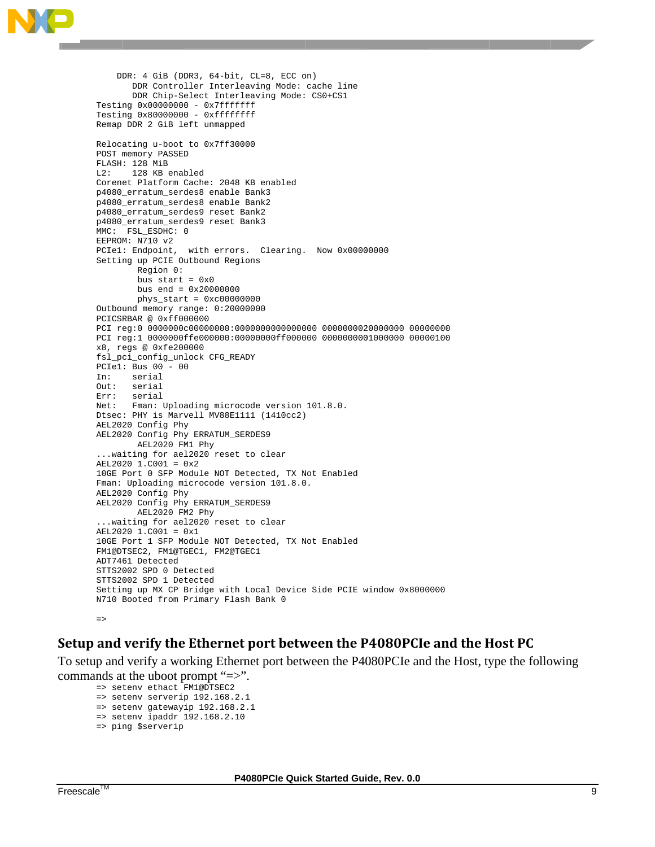

```
DDR: 4 GiB (DDR3, 64-bit, CL=8, ECC on)
      DDR Controller Interleaving Mode: cache line
      DDR Chip-Select Interleaving Mode: CS0+CS1
Testing 0x00000000 - 0x7fffffffTesting 0x80000000 - 0xffffffff
Remap DDR 2 GiB left unmapped
Relocating u-boot to 0x7ff30000
POST memory PASSED
FLASH: 128 MiB
L2: 128 KB enabled
Corenet Platform Cache: 2048 KB enabled
p4080_erratum_serdes8 enable Bank3
p4080_erratum_serdes8 enable Bank2
p4080_erratum_serdes9 reset Bank2
p4080_erratum_serdes9 reset Bank3
MMC: FSL_ESDHC: 0
EEPROM: N710 v2
PCIel: Endpoint, with errors. Clearing. Now 0x00000000
Setting up PCIE Outbound Regions
       Region 0:
       bus start = 0x0bus end = 0x20000000phys\_start = 0xc00000000Outbound memory range: 0:20000000
PCICSRBAR @ 0xff000000
x8, regs @ 0xfe200000
fsl_pci_config_unlock CFG_READY
PCIe1: Bus 00 - 00serial
Tn:
Out: serial
     serial
Err:
Net:
      Fman: Uploading microcode version 101.8.0.
Dtsec: PHY is Marvell MV88E1111 (1410cc2)
AEL2020 Config Phy
AEL2020 Config Phy ERRATUM_SERDES9
       AEL2020 FM1 Phy
... waiting for ael2020 reset to clear
AEL2020 1.C001 = 0x210GE Port 0 SFP Module NOT Detected, TX Not Enabled
Fman: Uploading microcode version 101.8.0.
AEL2020 Config Phy
AEL2020 Config Phy ERRATUM_SERDES9
       AEL2020 FM2 Phy
... waiting for ael2020 reset to clear
AEL2020 1.C001 = 0x1
10GE Port 1 SFP Module NOT Detected, TX Not Enabled
FM1@DTSEC2, FM1@TGEC1, FM2@TGEC1
ADT7461 Detected
STTS2002 SPD 0 Detected
STTS2002 SPD 1 Detected
Setting up MX CP Bridge with Local Device Side PCIE window 0x8000000
N710 Booted from Primary Flash Bank 0
```
#### $\Rightarrow$

## Setup and verify the Ethernet port between the P4080PCIe and the Host PC

To setup and verify a working Ethernet port between the P4080PCIe and the Host, type the following commands at the uboot prompt "=>".

```
=> setenv ethact FM1@DTSEC2
\Rightarrow setenv serverip 192.168.2.1
=> setenv gatewayip 192.168.2.1
\Rightarrow setenv ipaddr 192.168.2.10
=> ping $serverip
```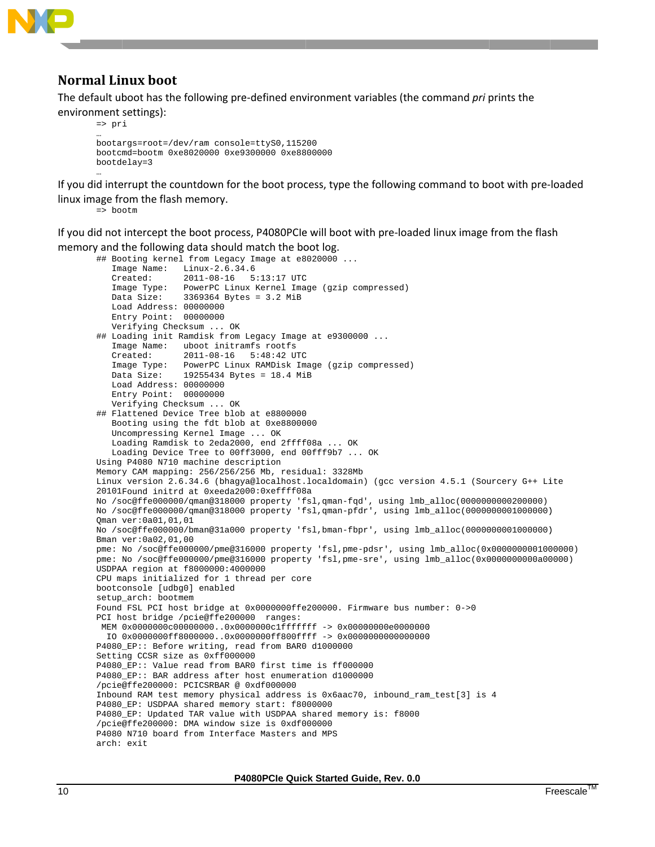

## **Normal Linux boot**

The default uboot has the following pre-defined environment variables (the command pri prints the environment settings):

```
\Rightarrow pri
bootargs=root=/dev/ram console=ttyS0,115200
bootcmd=bootm 0xe8020000 0xe9300000 0xe8800000
bootdelay=3
```
If you did interrupt the countdown for the boot process, type the following command to boot with pre-loaded linux image from the flash memory.

 $\Rightarrow$  bootm

If you did not intercept the boot process, P4080PCIe will boot with pre-loaded linux image from the flash memory and the following data should match the boot log.

```
## Booting kernel from Legacy Image at e8020000 ...
   Image Name: Linux-2.6.34.6
                2011-08-16 5:13:17 UTC
   Created:
               PowerPC Linux Kernel Image (gzip compressed)
   Image Type:
                3369364 Bytes = 3.2 MiB
   Data Size:
   Load Address: 00000000
   Entry Point: 00000000Verifying Checksum ... OK
## Loading init Ramdisk from Legacy Image at e9300000 ...
   Image Name: uboot initramfs rootfs
   Created:
                2011-08-16 5:48:42 UTC
   Image Type: PowerPC Linux RAMDisk Image (gzip compressed)
                19255434 Bytes = 18.4 MiB
   Data Size:
   Load Address: 00000000
   Entry Point: 00000000
   Verifying Checksum ... OK
## Flattened Device Tree blob at e8800000
   Booting using the fdt blob at 0xe8800000
   Uncompressing Kernel Image ... OK
   Loading Ramdisk to 2eda2000, end 2ffff08a ... OK
   Loading Device Tree to 00ff3000, end 00fff9b7 ... OK
Using P4080 N710 machine description
Memory CAM mapping: 256/256/256 Mb, residual: 3328Mb
Linux version 2.6.34.6 (bhagya@localhost.localdomain) (gcc version 4.5.1 (Sourcery G++ Lite
20101Found initrd at 0xeeda2000:0xeffff08a
No /soc@ffe000000/qman@318000 property 'fsl,qman-fqd', using lmb_alloc(0000000000200000)
No /soc@ffe000000/gman@318000 property 'fsl,gman-pfdr', using lmb_alloc(0000000001000000)
Oman ver: 0a01, 01, 01
No /soc@ffe000000/bman@31a000 property 'fsl,bman-fbpr', using lmb_alloc(0000000001000000)
Bman ver: 0a02, 01, 00
pme: No /soc@ffe000000/pme@316000 property 'fsl,pme-pdsr', using lmb_alloc(0x0000000000000000)
pme: No /soc@ffe000000/pme@316000 property 'fsl,pme-sre', using lmb_alloc(0x0000000000000000)
USDPAA region at f8000000:4000000
CPU maps initialized for 1 thread per core
bootconsole [udbg0] enabled
setup_arch: bootmem
Found FSL PCI host bridge at 0x0000000ffe200000. Firmware bus number: 0->0
PCI host bridge /pcie@ffe200000 ranges:
MEM 0 \times 00000000000000000...0 \times 0000000001ffffffff -> 0x00000000000000000
 IO 0x0000000ff8000000..0x0000000ff800ffff -> 0x0000000000000000
P4080_EP:: Before writing, read from BAR0 d1000000
Setting CCSR size as 0xff000000
P4080_EP:: Value read from BAR0 first time is ff000000
P4080_EP:: BAR address after host enumeration d1000000
/pcie@ffe200000: PCICSRBAR @ 0xdf000000
Inbound RAM test memory physical address is 0x6aac70, inbound_ram_test[3] is 4
P4080_EP: USDPAA shared memory start: f8000000
P4080_EP: Updated TAR value with USDPAA shared memory is: f8000
/pcie@ffe200000: DMA window size is 0xdf000000
P4080 N710 board from Interface Masters and MPS
arch: exit
```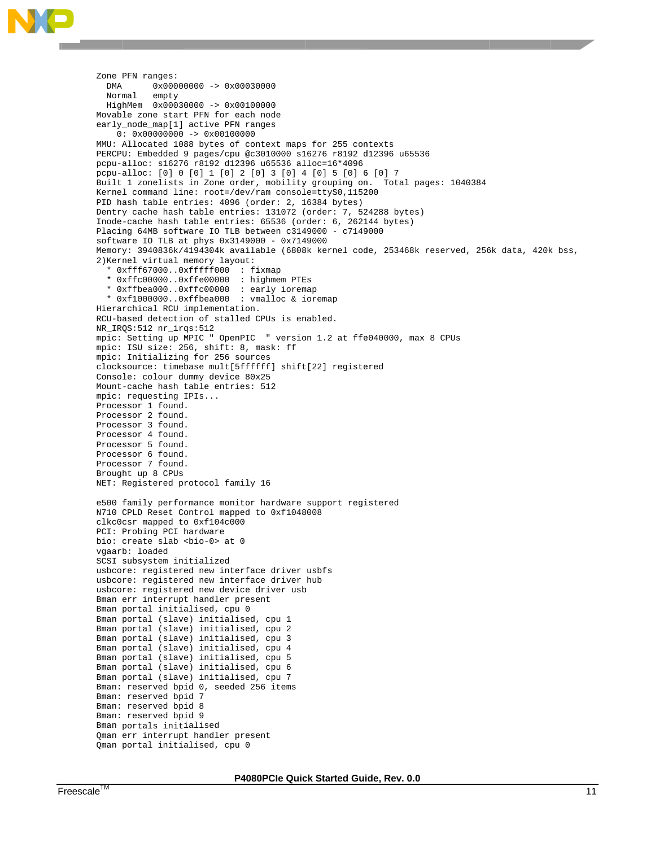```
Zone PFN ranges:
           0 \times 00000000 -> 0 \times 00030000DMA
  Normal
           empty
  HiqhMem 0x00030000 -> 0x00100000Movable zone start PFN for each node
early_node_map[1] active PFN ranges
    0: 0 \times 000000000 -> 0 \times 001000000MMU: Allocated 1088 bytes of context maps for 255 contexts
PERCPU: Embedded 9 pages/cpu @c3010000 s16276 r8192 d12396 u65536
pcpu-alloc: s16276 r8192 d12396 u65536 alloc=16*4096
pcpu-alloc: [0] 0 [0] 1 [0] 2 [0] 3 [0] 4 [0] 5 [0] 6 [0] 7
Built 1 zonelists in Zone order, mobility grouping on. Total pages: 1040384
Kernel command line: root=/dev/ram console=ttyS0,115200
PID hash table entries: 4096 (order: 2, 16384 bytes)
Dentry cache hash table entries: 131072 (order: 7, 524288 bytes)
Inode-cache hash table entries: 65536 (order: 6, 262144 bytes)
Placing 64MB software IO TLB between c3149000 - c7149000
software IO TLB at phys 0x3149000 - 0x7149000
Memory: 3940836k/4194304k available (6808k kernel code, 253468k reserved, 256k data, 420k bss,
2) Kernel virtual memory layout:
  * 0xfff67000..0xfffff000 : fixmap
  * 0xffc00000..0xffe00000 : highmem PTEs
  * 0xffbea000..0xffc00000 : early ioremap<br>* 0xffbea000..0xffc00000 : early ioremap<br>* 0xf1000000..0xffbea000 : vmalloc & ioremap
Hierarchical RCU implementation.
RCU-based detection of stalled CPUs is enabled.
NR_IRQS:512 nr_irqs:512
mpic: Setting up MPIC " OpenPIC " version 1.2 at ffe040000, max 8 CPUs
mpic: ISU size: 256, shift: 8, mask: ff
mpic: Initializing for 256 sources
clocksource: timebase mult[5ffffff] shift[22] registered
Console: colour dummy device 80x25
Mount-cache hash table entries: 512
mpic: requesting IPIs...
Processor 1 found.
Processor 2 found.
Processor 3 found.
Processor 4 found.
Processor 5 found.
Processor 6 found.
Processor 7 found.
Brought up 8 CPUs
NET: Registered protocol family 16
e500 family performance monitor hardware support registered
N710 CPLD Reset Control mapped to 0xf1048008
clkc0csr mapped to 0xf104c000
PCI: Probing PCI hardware
bio: create slab <bo>> <br/>at 0
vgaarb: loaded
SCSI subsystem initialized
usbcore: registered new interface driver usbfs
usbcore: registered new interface driver hub
usbcore: registered new device driver usb
Bman err interrupt handler present
Bman portal initialised, cpu 0
Bman portal (slave) initialised, cpu 1
Bman portal (slave) initialised, cpu 2
Bman portal (slave) initialised, cpu 3
Bman portal (slave) initialised, cpu 4
Bman portal (slave) initialised, cpu 5
Bman portal (slave) initialised, cpu 6
Bman portal (slave) initialised, cpu 7
Bman: reserved bpid 0, seeded 256 items
Bman: reserved bpid 7
Bman: reserved bpid 8
Bman: reserved bpid 9
Bman portals initialised
Qman err interrupt handler present
Qman portal initialised, cpu 0
```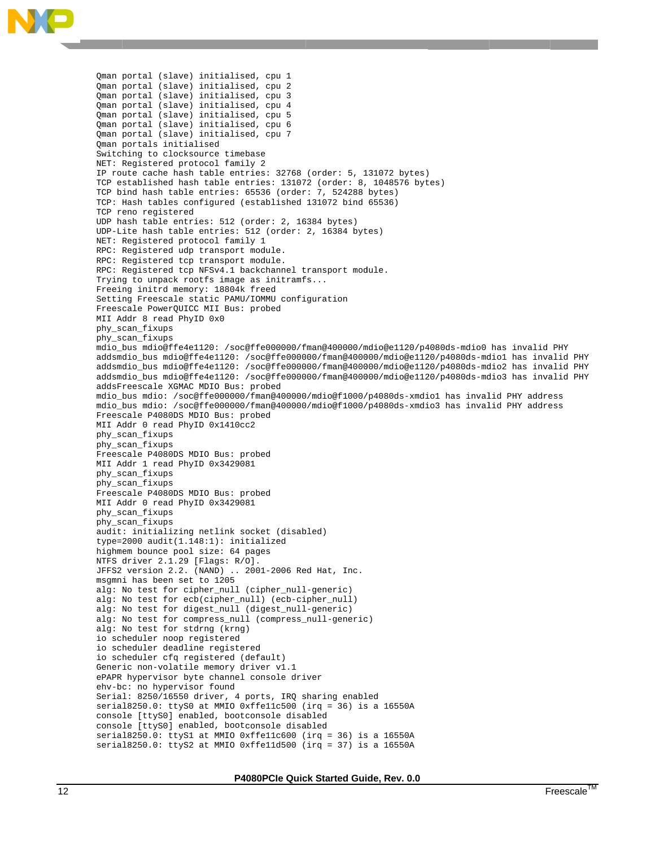

Qman portal (slave) initialised, cpu 1 Qman portal (slave) initialised, cpu 2 Qman portal (slave) initialised, cpu 3 Qman portal (slave) initialised, cpu 4 Qman portal (slave) initialised, cpu 5 Qman portal (slave) initialised, cpu 6 Qman portal (slave) initialised, cpu 7 Qman portals initialised Switching to clocksource timebase NET: Registered protocol family 2 IP route cache hash table entries: 32768 (order: 5, 131072 bytes) TCP established hash table entries: 131072 (order: 8, 1048576 bytes) TCP bind hash table entries: 65536 (order: 7, 524288 bytes) TCP: Hash tables configured (established 131072 bind 65536) TCP reno registered UDP hash table entries: 512 (order: 2, 16384 bytes) UDP-Lite hash table entries: 512 (order: 2, 16384 bytes) NET: Registered protocol family 1 RPC: Registered udp transport module. RPC: Registered tcp transport module. RPC: Registered tcp NFSv4.1 backchannel transport module. Trying to unpack rootfs image as initramfs... Freeing initrd memory: 18804k freed Setting Freescale static PAMU/IOMMU configuration Freescale PowerQUICC MII Bus: probed MII Addr 8 read PhyID 0x0 phy\_scan\_fixups phy\_scan\_fixups mdio\_bus mdio@ffe4e1120: /soc@ffe000000/fman@400000/mdio@e1120/p4080ds-mdio0 has invalid PHY addsmdio\_bus mdio@ffe4e1120: /soc@ffe000000/fman@400000/mdio@e1120/p4080ds-mdio1 has invalid PHY addsmdio\_bus mdio@ffe4e1120: /soc@ffe000000/fman@400000/mdio@e1120/p4080ds-mdio2 has invalid PHY addsmdio\_bus mdio@ffe4e1120: /soc@ffe000000/fman@400000/mdio@e1120/p4080ds-mdio3 has invalid PHY addsFreescale XGMAC MDIO Bus: probed mdio\_bus mdio: /soc@ffe000000/fman@400000/mdio@f1000/p4080ds-xmdio1 has invalid PHY address mdio\_bus mdio: /soc@ffe000000/fman@400000/mdio@f1000/p4080ds-xmdio3 has invalid PHY address Freescale P4080DS MDIO Bus: probed MII Addr 0 read PhyID 0x1410cc2 phy\_scan\_fixups phy\_scan\_fixups Freescale P4080DS MDIO Bus: probed MII Addr 1 read PhyID 0x3429081 phy\_scan\_fixups phy\_scan\_fixups Freescale P4080DS MDIO Bus: probed MII Addr 0 read PhyID 0x3429081 phy\_scan\_fixups phy scan fixups audit: initializing netlink socket (disabled) type=2000 audit(1.148:1): initialized highmem bounce pool size: 64 pages NTFS driver 2.1.29 [Flags: R/O]. JFFS2 version 2.2. (NAND) .. 2001-2006 Red Hat, Inc. msgmni has been set to 1205 alg: No test for cipher\_null (cipher\_null-generic) alg: No test for ecb(cipher\_null) (ecb-cipher\_null) alg: No test for digest\_null (digest\_null-generic) alg: No test for compress\_null (compress\_null-generic) alg: No test for stdrng (krng) io scheduler noop registered io scheduler deadline registered io scheduler cfq registered (default) Generic non-volatile memory driver v1.1 ePAPR hypervisor byte channel console driver ehv-bc: no hypervisor found Serial: 8250/16550 driver, 4 ports, IRQ sharing enabled serial8250.0: ttyS0 at MMIO 0xffellc500 (irq = 36) is a 16550A console [ttyS0] enabled, bootconsole disabled console [ttyS0] enabled, bootconsole disabled serial8250.0: ttyS1 at MMIO 0xffellc600 (irq = 36) is a 16550A serial8250.0: ttyS2 at MMIO 0xffelld500 (irq = 37) is a 16550A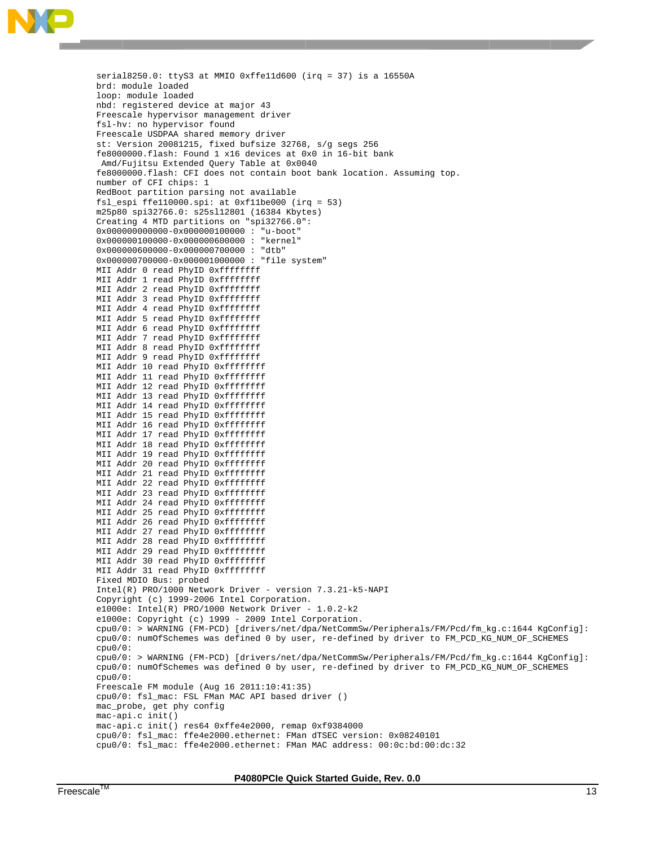

serial l8250.0: tty S3 at MMIO 0 xffe11d600 ( irq = 37) is s a 16550A brd: m module loade d loop: module load ed nbd: r registered d evice at maj or 43 Freesc cale hypervi sor manageme nt driver fsl-hv: no hypervisor found Freescale USDPAA shared memory driver st: Version 20081215, fixed bufsize 32768, s/g segs 256 fe8000 0000.flash: Found 1 x16 devices at 0 x0 in 16-bit t bank Amd/F Fujitsu Exte nded Query T able at 0x00 40 fe8000000.flash: CFI does not contain boot bank location. Assuming top. number r of CFI chi ps: 1 RedBoot partition parsing not available fsl\_espi ffe110000.spi: at 0xf11be000 (irq = 53) m25p80 0 spi32766.0 : s25sl12801 (16384 Kbyt tes) Creating 4 MTD partitions on "spi32766.0": 0x00000000000-0x000000100000 : "u-boot" 0x000000100000-0x0000006000000: "kernel" 0x0000 000600000-0x 000000700000 : "dtb" 0x000000700000-0x0000010000000 : "file system" MII Addr 0 read PhyID Oxffffffff MII Addr 1 read PhyID Oxffffffff MII Addr 2 read PhyID Oxffffffff MII Addr 3 read PhyID Oxffffffff MII Addr 4 read PhyID Oxffffffff MII Addr 5 read PhyID Oxffffffff MII Addr 6 read PhyID Oxffffffff MII Addr 7 read PhyID Oxffffffff MII Addr 8 read PhyID Oxffffffff MII Addr 9 read PhyID Oxffffffff MII Addr 10 read PhyID Oxffffffff MII Addr 11 read PhyID Oxffffffff MII Addr 12 read PhyID Oxffffffff MII Addr 13 read PhyID Oxffffffff MII Addr 14 read PhyID Oxffffffff MII Addr 15 read PhyID Oxffffffff MII Addr 16 read PhyID Oxffffffff MII Addr 17 read PhyID Oxffffffff MII Addr 18 read PhyID Oxffffffff MII Addr 19 read PhyID Oxffffffff MII Addr 20 read PhyID Oxffffffff MII Addr 21 read PhyID Oxffffffff MII Addr 22 read PhyID Oxffffffff MII Addr 23 read PhyID Oxffffffff MII Addr 24 read PhyID Oxffffffff MII Addr 25 read PhyID Oxffffffff MII Addr 26 read PhyID Oxffffffff MII Addr 27 read PhyID Oxffffffff MII Addr 28 read PhyID Oxffffffff MII Addr 29 read PhyID Oxffffffff MII Addr 30 read PhyID Oxffffffff MII Addr 31 read PhyID Oxffffffff Fixed MDIO Bus: p robed Intel(R) PRO/1000 Network Driver - version 7.3.21-k5-NAPI Copyright (c) 1999-2006 Intel Corporation. e1000e: Intel(R) PRO/1000 Network Driver - 1.0.2-k2 e1000e: Copyright (c) 1999 - 2009 Intel Corporation. cpu0/0: > WARNING (FM-PCD) [drivers/net/dpa/NetCommSw/Peripherals/FM/Pcd/fm\_kg.c:1644 KgConfig]: cpu0/0: numOfSchemes was defined 0 by user, re-defined by driver to FM\_PCD\_KG\_NUM\_OF\_SCHEMES cpu0/0 0: cpu0/0: > WARNING (FM-PCD) [drivers/net/dpa/NetCommSw/Peripherals/FM/Pcd/fm\_kg.c:1644 KgConfig]: cpu0/0: numOfSchemes was defined 0 by user, re-defined by driver to FM\_PCD\_KG\_NUM\_OF\_SCHEMES cpu0/0 0: Freesc cale FM modu le (Aug 16 2 011:10:41:35 5) cpu0/0 0: fsl\_mac: FSL FMan MAC API based d driver () mac\_probe, get phy config mac-ap pi.c init() mac-ap pi.c init() res64 0xffe4 e2000, remap p 0xf9384000 cpu0/0: fsl\_mac: ffe4e2000.ethernet: FMan dTSEC version: 0x08240101 cpu0/0 0: fsl\_mac: ffe4e2000.et hernet: FMan n MAC address s: 00:0c:bd:0 00:dc:32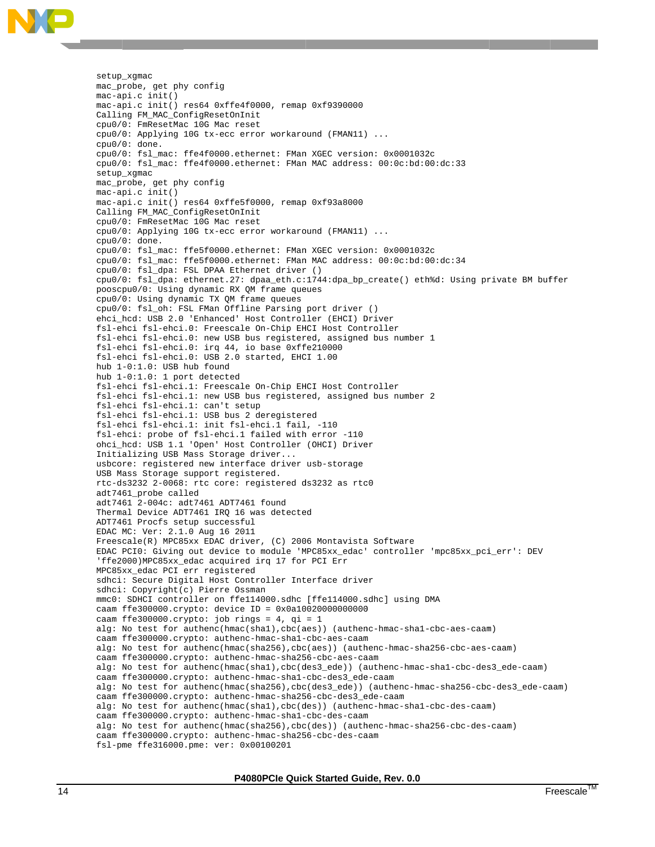setup\_ \_xgmac mac\_probe, get phy config mac-ap pi.c init() mac-ap pi.c init() res64 0xffe4 f0000, remap p 0xf9390000 Calling FM\_MAC\_ConfigResetOnInit cpu0/0 0: FmResetMa c 10G Mac re set cpu0/0: Applying 10G tx-ecc error workaround (FMAN11) ... cpu0/0 0: done. cpu0/0 0: fsl\_mac: ffe4f0000.et hernet: FMan n XGEC versio on: 0x0001032 2c cpu0/0: fsl\_mac: ffe4f0000.ethernet: FMan MAC address: 00:0c:bd:00:dc:33 setup\_ \_xgmac mac\_probe, get phy config mac-ap pi.c init() mac-ap pi.c init() res64 0xffe5 f0000, remap p 0xf93a8000 Calling FM\_MAC\_ConfigResetOnInit cpu0/0 0: FmResetMa c 10G Mac re set cpu0/0: Applying 10G tx-ecc error workaround (FMAN11) ... cpu0/0 0: done. cpu0/0: fsl\_mac: ffe5f0000.ethernet: FMan XGEC version: 0x0001032c cpu0/0 0: fsl\_mac: ffe5f0000.et hernet: FMan n MAC address s: 00:0c:bd:0 00:dc:34 cpu0/0 0: fsl\_dpa: FSL DPAA Eth hernet driver r () cpu0/0: fsl\_dpa: ethernet.27: dpaa\_eth.c:1744:dpa\_bp\_create() eth%d: Using private BM buffer pooscp pu0/0: Using dynamic RX QM frame que eues cpu0/0 0: Using dyn amic TX QM f frame queues cpu0/0 0: fsl\_oh: F SL FMan Offl ine Parsing port driver () ehci\_hcd: USB 2.0 'Enhanced' Host Controller (EHCI) Driver fsl-ehci fsl-ehci.0: Freescale On-Chip EHCI Host Controller fsl-ehci fsl-ehci.0: new USB bus registered, assigned bus number 1 fsl-eh hci fsl-ehci .0: irq 44, io base 0xff fe210000 fsl-eh hci fsl-ehci .0: USB 2.0 started, EHC CI 1.00 hub 1- -0:1.0: USB hub found hub 1- -0:1.0: 1 po rt detected fsl-ehci fsl-ehci.1: Freescale On-Chip EHCI Host Controller fsl-ehci fsl-ehci.1: new USB bus registered, assigned bus number 2 fsl-eh hci fsl-ehci .1: can't se tup fsl-eh hci fsl-ehci .1: USB bus 2 deregister red fsl-eh hci fsl-ehci .1: init fsl -ehci.1 fail l, -110 fsl-eh hci: probe o f fsl-ehci.1 failed with h error -110 ohci\_h hcd: USB 1.1 'Open' Host Controller (OHCI) Drive er Initializing USB Mass Storage driver... usbcore: registered new interface driver usb-storage USB Ma ass Storage support regi stered. rtc-ds3232 2-0068: rtc core: registered ds3232 as rtc0 adt746 61\_probe cal led adt746 61 2-004c: a dt7461 ADT74 61 found Thermal Device ADT7461 IRQ 16 was detected ADT746 61 Procfs se tup successf ful EDAC M MC: Ver: 2.1 .0 Aug 16 20 11 Freescale(R) MPC85xx EDAC driver, (C) 2006 Montavista Software EDAC PCIO: Giving out device to module 'MPC85xx\_edac' controller 'mpc85xx\_pci\_err': DEV 'ffe2000)MPC85xx\_edac acquired irq 17 for PCI Err MPC85xx\_edac PCI err registered sdhci: Secure Digital Host Controller Interface driver sdhci: : Copyright( c) Pierre Os sman mmc0: SDHCI controller on ffe114000.sdhc [ffe114000.sdhc] using DMA caam f ffe300000.cr ypto: device ID = 0x0a10 020000000000 caam f ffe300000.cr ypto: job ri ngs = 4, qi = 1 caam ffe300000.crypto: device ID = 0x0a10020000000000<br>caam ffe300000.crypto: job rings = 4, qi = 1<br>alg: No test for authenc(hmac(shal),cbc(aes)) (authenc-hmac-shal-cbc-aes-caam) caam ffe300000.crypto: authenc-hmac-shal-cbc-aes-caam caam ffe300000.crypto: authenc-hmac-shal-cbc-aes-caam<br>alg: No test for authenc(hmac(sha256),cbc(aes)) (authenc-hmac-sha256-cbc-aes-caam) caam ffe300000.crypto: authenc-hmac-sha256-cbc-aes-caam alg: No test for authenc(hmac(shal),cbc(des3\_ede)) (authenc-hmac-shal-cbc-des3\_ede-caam) caam ffe300000.crypto: authenc-hmac-shal-cbc-des3\_ede-caam alg: No test for authenc(hmac(sha256),cbc(des3\_ede)) (authenc-hmac-sha256-cbc-des3\_ede-caam) caam ffe300000.crypto: authenc-hmac-sha256-cbc-des3\_ede-caam alg: No test for authenc(hmac(shal), cbc(des)) (authenc-hmac-shal-cbc-des-caam) caam ffe300000.crypto: authenc-hmac-shal-cbc-des-caam caam ffe300000.crypto: authenc-hmac-shal-cbc-des-caam<br>alg: No test for authenc(hmac(sha256),cbc(des)) (authenc-hmac-sha256-cbc-des-caam) caam f ffe300000.cr ypto: authen nc-hmac-sha25 56-cbc-des-ca aam fsl-pm me ffe316000 .pme: ver: 0 x00100201

**P4 4080PCIe Quic ck Started Gui de, Rev. 0.0**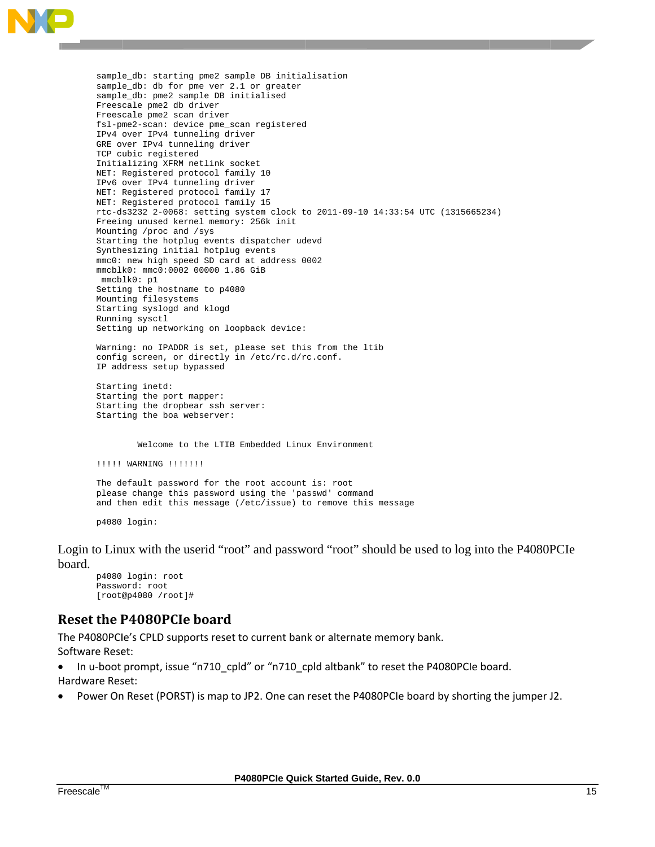

sample\_db: starting pme2 sample DB initialisation sample\_db: db for pme ver 2.1 or greater sample\_db: pme2 sample DB initialised Freescale pme2 db driver Freescale pme2 scan driver fsl-pme2-scan: device pme\_scan registered IPv4 over IPv4 tunneling driver GRE over IPv4 tunneling driver TCP cubic registered Initializing XFRM netlink socket NET: Registered protocol family 10 IPv6 over IPv4 tunneling driver NET: Registered protocol family 17 NET: Registered protocol family 15 rtc-ds3232 2-0068: setting system clock to 2011-09-10 14:33:54 UTC (1315665234) Freeing unused kernel memory: 256k init Mounting /proc and /sys Starting the hotplug events dispatcher udevd Synthesizing initial hotplug events mmc0: new high speed SD card at address 0002 mmcblk0: mmc0:0002 00000 1.86 GiB mmcblk0: p1 Setting the hostname to p4080 Mounting filesystems Starting syslogd and klogd Running sysctl Setting up networking on loopback device: Warning: no IPADDR is set, please set this from the ltib config screen, or directly in /etc/rc.d/rc.conf. IP address setup bypassed Starting inetd: Starting the port mapper: Starting the dropbear ssh server: Starting the boa webserver: Welcome to the LTIB Embedded Linux Environment !!!!!! WARNING !!!!!!!! The default password for the root account is: root please change this password using the 'passwd' command and then edit this message (/etc/issue) to remove this message

p4080 login:

Login to Linux with the userid "root" and password "root" should be used to log into the P4080PCIe board.

p4080 login: root Password: root  $[root@p4080 /root]$ #

### **Reset the P4080PCIe board**

The P4080PCIe's CPLD supports reset to current bank or alternate memory bank. Software Reset:

In u-boot prompt, issue "n710\_cpld" or "n710\_cpld altbank" to reset the P4080PCIe board.

Hardware Reset:

Power On Reset (PORST) is map to JP2. One can reset the P4080PCIe board by shorting the jumper J2.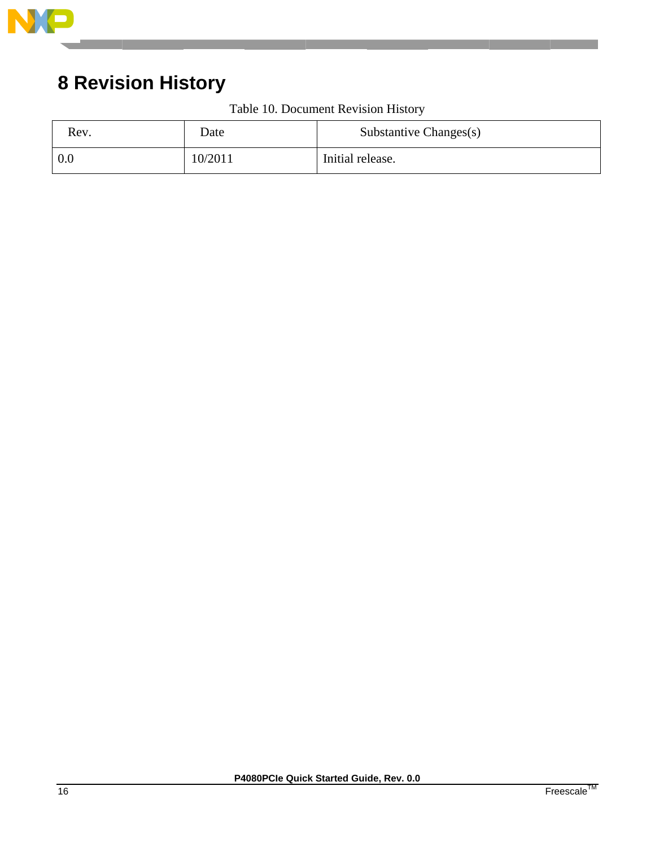

# **8 Revision History**

| Rev. | Date    | Substantive Changes(s) |
|------|---------|------------------------|
| 0.0  | 10/2011 | Initial release.       |

Table 10. Document Revision History